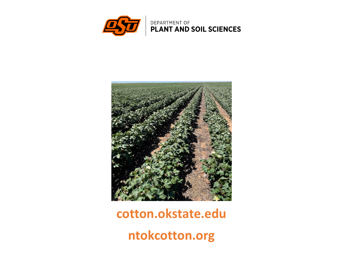



# **cotton.okstate.edu**

**ntokcotton.org**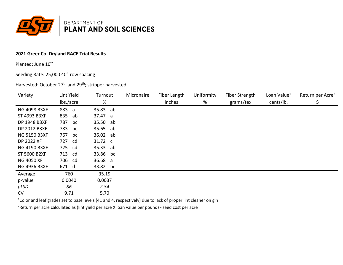

### **2021 Greer Co. Dryland RACE Trial Results**

Planted: June 10<sup>th</sup>

Seeding Rate: 25,000 40" row spacing

Harvested: October 27<sup>th</sup> and 29<sup>th</sup>; stripper harvested

| Variety             | Lint Yield | Turnout  | Micronaire | Fiber Length | Uniformity | Fiber Strength | Loan Value <sup>1</sup> | Return per Acre <sup>2</sup> |
|---------------------|------------|----------|------------|--------------|------------|----------------|-------------------------|------------------------------|
|                     | lbs./acre  | %        |            | inches       | %          | grams/tex      | cents/lb.               |                              |
| <b>NG 4098 B3XF</b> | 883<br>a   | 35.83 ab |            |              |            |                |                         |                              |
| ST 4993 B3XF        | 835<br>ab  | 37.47 a  |            |              |            |                |                         |                              |
| DP 1948 B3XF        | 787<br>bc  | 35.50 ab |            |              |            |                |                         |                              |
| DP 2012 B3XF        | 783<br>bc  | 35.65 ab |            |              |            |                |                         |                              |
| <b>NG 5150 B3XF</b> | 767<br>bc  | 36.02 ab |            |              |            |                |                         |                              |
| DP 2022 XF          | 727<br>cd  | 31.72 c  |            |              |            |                |                         |                              |
| <b>NG 4190 B3XF</b> | 725<br>cd  | 35.33 ab |            |              |            |                |                         |                              |
| ST 5600 B2XF        | 713<br>cd  | 33.86 bc |            |              |            |                |                         |                              |
| <b>NG 4050 XF</b>   | 706 cd     | 36.68 a  |            |              |            |                |                         |                              |
| <b>NG 4936 B3XF</b> | 671 d      | 33.82 bc |            |              |            |                |                         |                              |
| Average             | 760        | 35.19    |            |              |            |                |                         |                              |
| p-value             | 0.0040     | 0.0037   |            |              |            |                |                         |                              |
| pLSD                | 86         | 2.34     |            |              |            |                |                         |                              |
| <b>CV</b>           | 9.71       | 5.70     |            |              |            |                |                         |                              |

<sup>1</sup>Color and leaf grades set to base levels (41 and 4, respectively) due to lack of proper lint cleaner on gin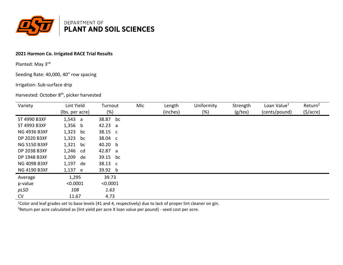

# **2021 Harmon Co. Irrigated RACE Trial Results**

Planted: May 3rd

Seeding Rate: 40,000, 40" row spacing

#### Irrigation: Sub-surface drip

# Harvested: October 8<sup>th</sup>, picker harvested

| Variety             | Lint Yield      | Turnout  | Mic | Length   | Uniformity | Strength | Loan Value <sup>1</sup> | Return <sup>2</sup> |
|---------------------|-----------------|----------|-----|----------|------------|----------|-------------------------|---------------------|
|                     | (lbs. per acre) | $(\%)$   |     | (inches) | $(\%)$     | (g/tex)  | (cents/pound)           | (5/acre)            |
| ST 4990 B3XF        | 1,543 a         | 38.87 bc |     |          |            |          |                         |                     |
| ST 4993 B3XF        | 1,356 b         | 42.23 a  |     |          |            |          |                         |                     |
| <b>NG 4936 B3XF</b> | 1,323<br>bc     | 38.15 c  |     |          |            |          |                         |                     |
| DP 2020 B3XF        | 1,323<br>bc     | 38.04 c  |     |          |            |          |                         |                     |
| <b>NG 5150 B3XF</b> | 1,321<br>bc     | 40.20 b  |     |          |            |          |                         |                     |
| DP 2038 B3XF        | 1,246 cd        | 42.87 a  |     |          |            |          |                         |                     |
| DP 1948 B3XF        | 1,209<br>de     | 39.15 bc |     |          |            |          |                         |                     |
| <b>NG 4098 B3XF</b> | 1,197 de        | 38.13 c  |     |          |            |          |                         |                     |
| NG 4190 B3XF        | 1,137 e         | 39.92 b  |     |          |            |          |                         |                     |
| Average             | 1,295           | 39.73    |     |          |            |          |                         |                     |
| p-value             | < 0.0001        | < 0.0001 |     |          |            |          |                         |                     |
| pLSD                | 108             | 1.63     |     |          |            |          |                         |                     |
| CV                  | 11.67           | 4.73     |     |          |            |          |                         |                     |

<sup>1</sup>Color and leaf grades set to base levels (41 and 4, respectively) due to lack of proper lint cleaner on gin.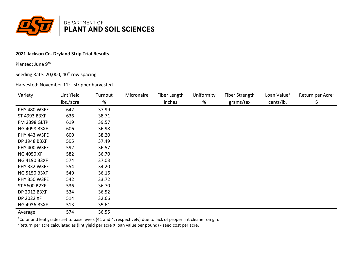

## **2021 Jackson Co. Dryland Strip Trial Results**

Planted: June 9<sup>th</sup>

## Seeding Rate: 20,000, 40" row spacing

#### Harvested: November 11<sup>th</sup>, stripper harvested

| Variety             | Lint Yield | Turnout | Micronaire | Fiber Length | Uniformity | Fiber Strength | Loan Value <sup>1</sup> | Return per Acre <sup>2</sup> |
|---------------------|------------|---------|------------|--------------|------------|----------------|-------------------------|------------------------------|
|                     | lbs./acre  | %       |            | inches       | %          | grams/tex      | cents/lb.               | \$                           |
| <b>PHY 480 W3FE</b> | 642        | 37.99   |            |              |            |                |                         |                              |
| ST 4993 B3XF        | 636        | 38.71   |            |              |            |                |                         |                              |
| <b>FM 2398 GLTP</b> | 619        | 39.57   |            |              |            |                |                         |                              |
| NG 4098 B3XF        | 606        | 36.98   |            |              |            |                |                         |                              |
| <b>PHY 443 W3FE</b> | 600        | 38.20   |            |              |            |                |                         |                              |
| DP 1948 B3XF        | 595        | 37.49   |            |              |            |                |                         |                              |
| <b>PHY 400 W3FE</b> | 592        | 36.57   |            |              |            |                |                         |                              |
| NG 4050 XF          | 582        | 36.70   |            |              |            |                |                         |                              |
| NG 4190 B3XF        | 574        | 37.03   |            |              |            |                |                         |                              |
| <b>PHY 332 W3FE</b> | 554        | 34.20   |            |              |            |                |                         |                              |
| <b>NG 5150 B3XF</b> | 549        | 36.16   |            |              |            |                |                         |                              |
| <b>PHY 350 W3FE</b> | 542        | 33.72   |            |              |            |                |                         |                              |
| ST 5600 B2XF        | 536        | 36.70   |            |              |            |                |                         |                              |
| DP 2012 B3XF        | 534        | 36.52   |            |              |            |                |                         |                              |
| DP 2022 XF          | 514        | 32.66   |            |              |            |                |                         |                              |
| NG 4936 B3XF        | 513        | 35.61   |            |              |            |                |                         |                              |
| Average             | 574        | 36.55   |            |              |            |                |                         |                              |

<sup>1</sup>Color and leaf grades set to base levels (41 and 4, respectively) due to lack of proper lint cleaner on gin.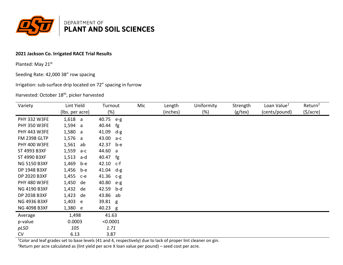

# **2021 Jackson Co. Irrigated RACE Trial Results**

Planted: May 21st

Seeding Rate: 42,000 38" row spacing

Irrigation: sub-surface drip located on 72" spacing in furrow

Harvested: October 18<sup>th</sup>, picker harvested

| Variety             | Lint Yield      | Turnout        | Mic | Length   | Uniformity | Strength   | Loan Value <sup>1</sup> | Return <sup>2</sup>   |
|---------------------|-----------------|----------------|-----|----------|------------|------------|-------------------------|-----------------------|
|                     | (lbs. per acre) | (%)            |     | (inches) | $(\%)$     | $(g$ /tex) | (cents/pound)           | $(\frac{1}{2})accre)$ |
| <b>PHY 332 W3FE</b> | $1,618$ a       | 40.75 e-g      |     |          |            |            |                         |                       |
| <b>PHY 350 W3FE</b> | 1,594 a         | 40.44<br>fg    |     |          |            |            |                         |                       |
| <b>PHY 443 W3FE</b> | 1,580<br>a      | 41.09<br>$d-g$ |     |          |            |            |                         |                       |
| <b>FM 2398 GLTP</b> | 1,576<br>a      | 43.00 a-c      |     |          |            |            |                         |                       |
| <b>PHY 400 W3FE</b> | 1,561<br>ab     | 42.37<br>b-e   |     |          |            |            |                         |                       |
| ST 4993 B3XF        | 1,559<br>a-c    | 44.60 a        |     |          |            |            |                         |                       |
| ST 4990 B3XF        | 1,513<br>a-d    | fg<br>40.47    |     |          |            |            |                         |                       |
| <b>NG 5150 B3XF</b> | 1,469<br>b-e    | 42.10 c-f      |     |          |            |            |                         |                       |
| DP 1948 B3XF        | 1,456<br>b-e    | 41.04 $d-g$    |     |          |            |            |                         |                       |
| DP 2020 B3XF        | 1,455<br>$c-e$  | 41.36 c-g      |     |          |            |            |                         |                       |
| <b>PHY 480 W3FE</b> | 1,450<br>de     | 40.80<br>$e-g$ |     |          |            |            |                         |                       |
| NG 4190 B3XF        | 1,432<br>de     | 42.59<br>b-d   |     |          |            |            |                         |                       |
| DP 2038 B3XF        | 1,423<br>de     | 43.86<br>ab    |     |          |            |            |                         |                       |
| <b>NG 4936 B3XF</b> | 1,403<br>e e    | 39.81 g        |     |          |            |            |                         |                       |
| <b>NG 4098 B3XF</b> | 1,380 e         | 40.23 g        |     |          |            |            |                         |                       |
| Average             | 1,498           | 41.63          |     |          |            |            |                         |                       |
| p-value             | 0.0003          | < 0.0001       |     |          |            |            |                         |                       |
| pLSD                | 105             | 1.71           |     |          |            |            |                         |                       |
| CV                  | 6.13            | 3.87           |     |          |            |            |                         |                       |

<sup>1</sup>Color and leaf grades set to base levels (41 and 4, respectively) due to lack of proper lint cleaner on gin.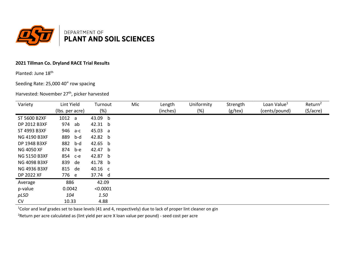

## **2021 Tillman Co. Dryland RACE Trial Results**

Planted: June 18th

### Seeding Rate: 25,000 40" row spacing

Harvested: November 27<sup>th</sup>, picker harvested

| Variety             | Lint Yield      | Turnout  | Mic | Length   | Uniformity | Strength      | Loan Value <sup>1</sup> | Return <sup>2</sup>   |
|---------------------|-----------------|----------|-----|----------|------------|---------------|-------------------------|-----------------------|
|                     | (lbs. per acre) | $(\%)$   |     | (inches) | $(\%)$     | $(g$ /tex $)$ | (cents/pound)           | $(\frac{1}{2})accre)$ |
| ST 5600 B2XF        | 1012 a          | 43.09 b  |     |          |            |               |                         |                       |
| DP 2012 B3XF        | 974<br>ab       | 42.31 b  |     |          |            |               |                         |                       |
| ST 4993 B3XF        | 946 a-c         | 45.03 a  |     |          |            |               |                         |                       |
| <b>NG 4190 B3XF</b> | 889<br>b-d      | 42.82 b  |     |          |            |               |                         |                       |
| DP 1948 B3XF        | 882<br>b-d      | 42.65 b  |     |          |            |               |                         |                       |
| <b>NG 4050 XF</b>   | 874 b-e         | 42.47 b  |     |          |            |               |                         |                       |
| <b>NG 5150 B3XF</b> | 854 с-е         | 42.87 b  |     |          |            |               |                         |                       |
| <b>NG 4098 B3XF</b> | 839 de          | 41.78 b  |     |          |            |               |                         |                       |
| <b>NG 4936 B3XF</b> | 815 de          | 40.16 c  |     |          |            |               |                         |                       |
| DP 2022 XF          | 776 e           | 37.74 d  |     |          |            |               |                         |                       |
| Average             | 886             | 42.09    |     |          |            |               |                         |                       |
| p-value             | 0.0042          | < 0.0001 |     |          |            |               |                         |                       |
| pLSD                | 104             | 1.50     |     |          |            |               |                         |                       |
| <b>CV</b>           | 10.33           | 4.88     |     |          |            |               |                         |                       |

<sup>1</sup>Color and leaf grades set to base levels (41 and 4, respectively) due to lack of proper lint cleaner on gin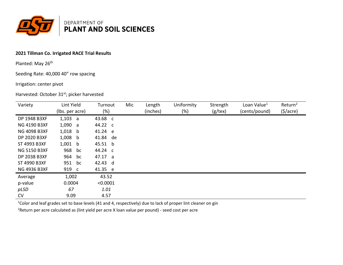

# **2021 Tillman Co. Irrigated RACE Trial Results**

Planted: May 26<sup>th</sup>

Seeding Rate: 40,000 40" row spacing

#### Irrigation: center pivot

Harvested: October 31st; picker harvested

| Variety             | Lint Yield      | Turnout  | Mic | Length   | Uniformity | Strength   | Loan Value <sup>1</sup> | Return <sup>2</sup> |
|---------------------|-----------------|----------|-----|----------|------------|------------|-------------------------|---------------------|
|                     | (lbs. per acre) | (%)      |     | (inches) | $(\%)$     | $(g$ /tex) | (cents/pound)           | (5/acre)            |
| DP 1948 B3XF        | 1,103 a         | 43.68 c  |     |          |            |            |                         |                     |
| <b>NG 4190 B3XF</b> | 1,090 a         | 44.22 c  |     |          |            |            |                         |                     |
| <b>NG 4098 B3XF</b> | $1,018$ b       | 41.24 e  |     |          |            |            |                         |                     |
| DP 2020 B3XF        | $1,008$ b       | 41.84 de |     |          |            |            |                         |                     |
| ST 4993 B3XF        | $1,001$ b       | 45.51 b  |     |          |            |            |                         |                     |
| <b>NG 5150 B3XF</b> | 968<br>bc       | 44.24 c  |     |          |            |            |                         |                     |
| DP 2038 B3XF        | 964<br>bc       | 47.17 a  |     |          |            |            |                         |                     |
| ST 4990 B3XF        | 951<br>bc       | 42.43 d  |     |          |            |            |                         |                     |
| <b>NG 4936 B3XF</b> | 919 c           | 41.35 e  |     |          |            |            |                         |                     |
| Average             | 1,002           | 43.52    |     |          |            |            |                         |                     |
| p-value             | 0.0004          | < 0.0001 |     |          |            |            |                         |                     |
| pLSD                | 67              | 1.01     |     |          |            |            |                         |                     |
| <b>CV</b>           | 9.09            | 4.57     |     |          |            |            |                         |                     |

<sup>1</sup>Color and leaf grades set to base levels (41 and 4, respectively) due to lack of proper lint cleaner on gin